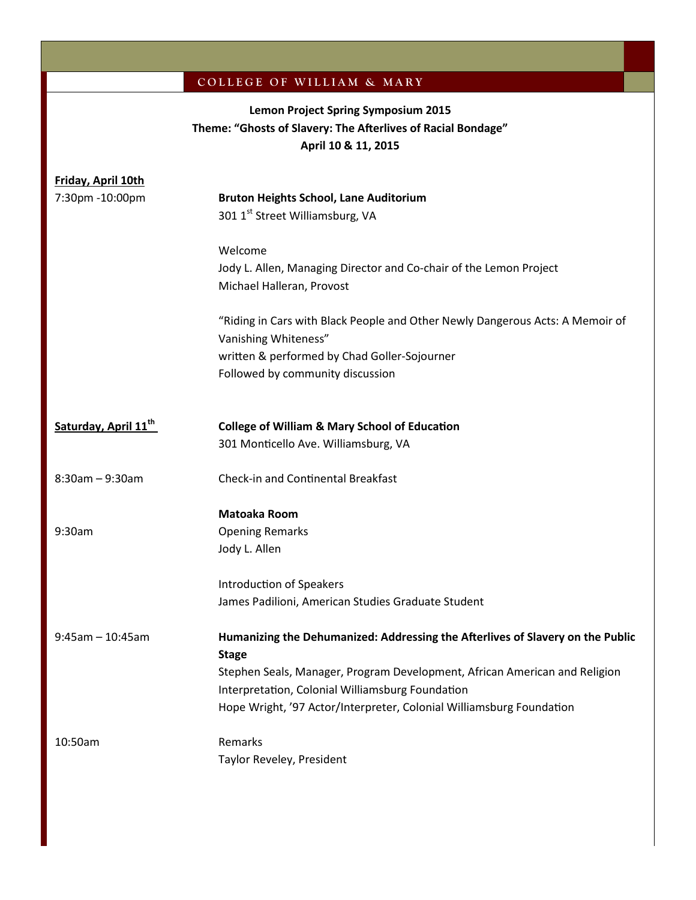## COLLEGE OF WILLIAM & MARY

# **Lemon Project Spring Symposium 2015 Theme: "Ghosts of Slavery: The Afterlives of Racial Bondage" April 10 & 11, 2015**

| Friday, April 10th               |                                                                                |  |  |  |
|----------------------------------|--------------------------------------------------------------------------------|--|--|--|
| 7:30pm -10:00pm                  | <b>Bruton Heights School, Lane Auditorium</b>                                  |  |  |  |
|                                  | 301 1 <sup>st</sup> Street Williamsburg, VA                                    |  |  |  |
|                                  | Welcome                                                                        |  |  |  |
|                                  | Jody L. Allen, Managing Director and Co-chair of the Lemon Project             |  |  |  |
|                                  | Michael Halleran, Provost                                                      |  |  |  |
|                                  | "Riding in Cars with Black People and Other Newly Dangerous Acts: A Memoir of  |  |  |  |
|                                  | Vanishing Whiteness"                                                           |  |  |  |
|                                  | written & performed by Chad Goller-Sojourner                                   |  |  |  |
|                                  | Followed by community discussion                                               |  |  |  |
| Saturday, April 11 <sup>th</sup> | <b>College of William &amp; Mary School of Education</b>                       |  |  |  |
|                                  | 301 Monticello Ave. Williamsburg, VA                                           |  |  |  |
|                                  |                                                                                |  |  |  |
| $8:30$ am - 9:30am               | Check-in and Continental Breakfast                                             |  |  |  |
|                                  | <b>Matoaka Room</b>                                                            |  |  |  |
| 9:30am                           | <b>Opening Remarks</b>                                                         |  |  |  |
|                                  | Jody L. Allen                                                                  |  |  |  |
|                                  | <b>Introduction of Speakers</b>                                                |  |  |  |
|                                  | James Padilioni, American Studies Graduate Student                             |  |  |  |
| $9:45$ am - 10:45am              | Humanizing the Dehumanized: Addressing the Afterlives of Slavery on the Public |  |  |  |
|                                  | <b>Stage</b>                                                                   |  |  |  |
|                                  | Stephen Seals, Manager, Program Development, African American and Religion     |  |  |  |
|                                  | Interpretation, Colonial Williamsburg Foundation                               |  |  |  |
|                                  | Hope Wright, '97 Actor/Interpreter, Colonial Williamsburg Foundation           |  |  |  |
| 10:50am                          | Remarks                                                                        |  |  |  |
|                                  | Taylor Reveley, President                                                      |  |  |  |
|                                  |                                                                                |  |  |  |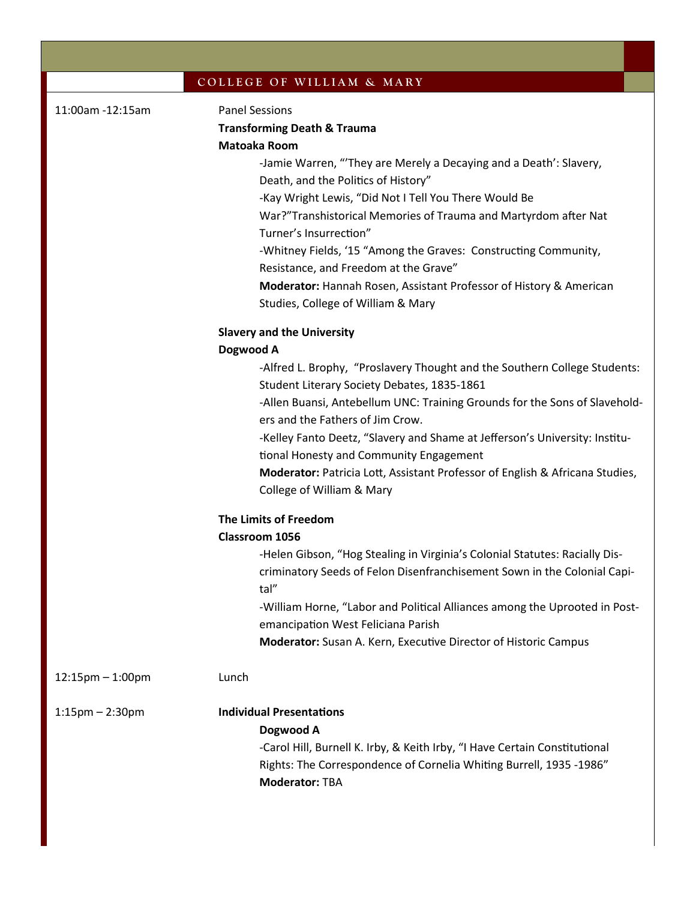|  |  | COLLEGE OF WILLIAM & MARY |  |  |
|--|--|---------------------------|--|--|
|--|--|---------------------------|--|--|

| 11:00am -12:15am      | <b>Panel Sessions</b><br><b>Transforming Death &amp; Trauma</b><br><b>Matoaka Room</b><br>-Jamie Warren, "'They are Merely a Decaying and a Death': Slavery,<br>Death, and the Politics of History"<br>-Kay Wright Lewis, "Did Not I Tell You There Would Be<br>War?"Transhistorical Memories of Trauma and Martyrdom after Nat<br>Turner's Insurrection"<br>-Whitney Fields, '15 "Among the Graves: Constructing Community,<br>Resistance, and Freedom at the Grave"<br>Moderator: Hannah Rosen, Assistant Professor of History & American<br>Studies, College of William & Mary |  |  |  |  |
|-----------------------|-----------------------------------------------------------------------------------------------------------------------------------------------------------------------------------------------------------------------------------------------------------------------------------------------------------------------------------------------------------------------------------------------------------------------------------------------------------------------------------------------------------------------------------------------------------------------------------|--|--|--|--|
|                       | <b>Slavery and the University</b>                                                                                                                                                                                                                                                                                                                                                                                                                                                                                                                                                 |  |  |  |  |
|                       | Dogwood A                                                                                                                                                                                                                                                                                                                                                                                                                                                                                                                                                                         |  |  |  |  |
|                       | -Alfred L. Brophy, "Proslavery Thought and the Southern College Students:<br>Student Literary Society Debates, 1835-1861                                                                                                                                                                                                                                                                                                                                                                                                                                                          |  |  |  |  |
|                       | -Allen Buansi, Antebellum UNC: Training Grounds for the Sons of Slavehold-<br>ers and the Fathers of Jim Crow.                                                                                                                                                                                                                                                                                                                                                                                                                                                                    |  |  |  |  |
|                       | -Kelley Fanto Deetz, "Slavery and Shame at Jefferson's University: Institu-<br>tional Honesty and Community Engagement                                                                                                                                                                                                                                                                                                                                                                                                                                                            |  |  |  |  |
|                       | Moderator: Patricia Lott, Assistant Professor of English & Africana Studies,<br>College of William & Mary                                                                                                                                                                                                                                                                                                                                                                                                                                                                         |  |  |  |  |
|                       | <b>The Limits of Freedom</b>                                                                                                                                                                                                                                                                                                                                                                                                                                                                                                                                                      |  |  |  |  |
|                       | Classroom 1056                                                                                                                                                                                                                                                                                                                                                                                                                                                                                                                                                                    |  |  |  |  |
|                       | -Helen Gibson, "Hog Stealing in Virginia's Colonial Statutes: Racially Dis-<br>criminatory Seeds of Felon Disenfranchisement Sown in the Colonial Capi-<br>tal"                                                                                                                                                                                                                                                                                                                                                                                                                   |  |  |  |  |
|                       | -William Horne, "Labor and Political Alliances among the Uprooted in Post-<br>emancipation West Feliciana Parish                                                                                                                                                                                                                                                                                                                                                                                                                                                                  |  |  |  |  |
|                       | Moderator: Susan A. Kern, Executive Director of Historic Campus                                                                                                                                                                                                                                                                                                                                                                                                                                                                                                                   |  |  |  |  |
| $12:15$ pm $-1:00$ pm | Lunch                                                                                                                                                                                                                                                                                                                                                                                                                                                                                                                                                                             |  |  |  |  |
| $1:15$ pm – $2:30$ pm | <b>Individual Presentations</b><br>Dogwood A<br>-Carol Hill, Burnell K. Irby, & Keith Irby, "I Have Certain Constitutional<br>Rights: The Correspondence of Cornelia Whiting Burrell, 1935 -1986"<br><b>Moderator: TBA</b>                                                                                                                                                                                                                                                                                                                                                        |  |  |  |  |
|                       |                                                                                                                                                                                                                                                                                                                                                                                                                                                                                                                                                                                   |  |  |  |  |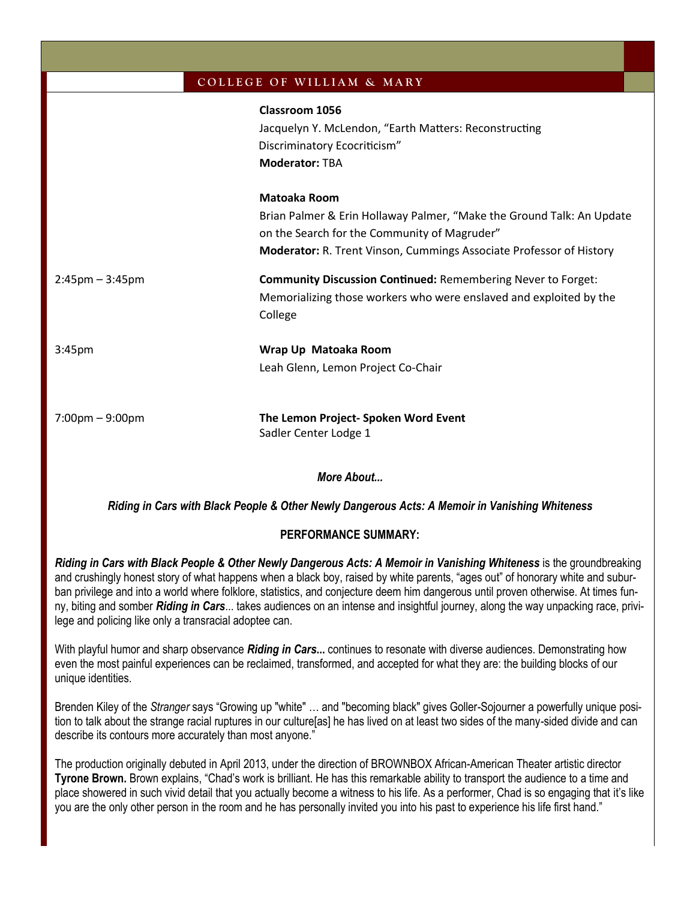|                                   | COLLEGE OF WILLIAM & MARY                                                                                                                                                                                           |
|-----------------------------------|---------------------------------------------------------------------------------------------------------------------------------------------------------------------------------------------------------------------|
|                                   | Classroom 1056<br>Jacquelyn Y. McLendon, "Earth Matters: Reconstructing<br>Discriminatory Ecocriticism"<br><b>Moderator: TBA</b>                                                                                    |
|                                   | <b>Matoaka Room</b><br>Brian Palmer & Erin Hollaway Palmer, "Make the Ground Talk: An Update<br>on the Search for the Community of Magruder"<br>Moderator: R. Trent Vinson, Cummings Associate Professor of History |
| $2:45 \text{pm} - 3:45 \text{pm}$ | <b>Community Discussion Continued: Remembering Never to Forget:</b><br>Memorializing those workers who were enslaved and exploited by the<br>College                                                                |
| 3:45 <sub>pm</sub>                | Wrap Up Matoaka Room<br>Leah Glenn, Lemon Project Co-Chair                                                                                                                                                          |
| $7:00 \text{pm} - 9:00 \text{pm}$ | The Lemon Project- Spoken Word Event<br>Sadler Center Lodge 1                                                                                                                                                       |

*More About...*

*Riding in Cars with Black People & Other Newly Dangerous Acts: A Memoir in Vanishing Whiteness*

## **PERFORMANCE SUMMARY:**

*Riding in Cars with Black People & Other Newly Dangerous Acts: A Memoir in Vanishing Whiteness* is the groundbreaking and crushingly honest story of what happens when a black boy, raised by white parents, "ages out" of honorary white and suburban privilege and into a world where folklore, statistics, and conjecture deem him dangerous until proven otherwise. At times funny, biting and somber *Riding in Cars*... takes audiences on an intense and insightful journey, along the way unpacking race, privilege and policing like only a transracial adoptee can.

With playful humor and sharp observance *Riding in Cars***...** continues to resonate with diverse audiences. Demonstrating how even the most painful experiences can be reclaimed, transformed, and accepted for what they are: the building blocks of our unique identities.

Brenden Kiley of the *Stranger* says "Growing up "white" … and "becoming black" gives Goller-Sojourner a powerfully unique position to talk about the strange racial ruptures in our culture[as] he has lived on at least two sides of the many-sided divide and can describe its contours more accurately than most anyone."

The production originally debuted in April 2013, under the direction of BROWNBOX African-American Theater artistic director **Tyrone Brown.** Brown explains, "Chad's work is brilliant. He has this remarkable ability to transport the audience to a time and place showered in such vivid detail that you actually become a witness to his life. As a performer, Chad is so engaging that it's like you are the only other person in the room and he has personally invited you into his past to experience his life first hand."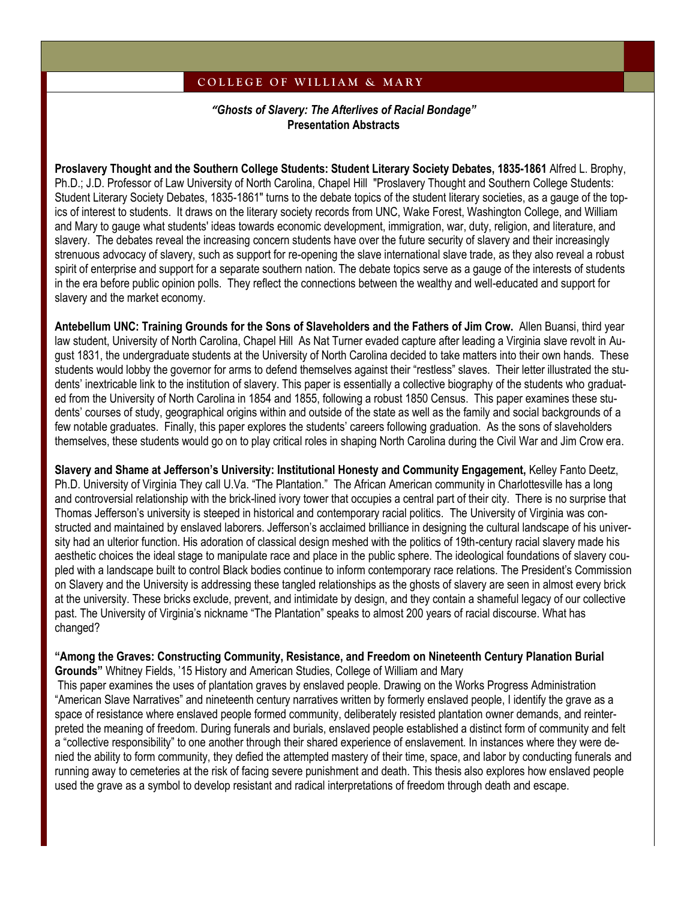### **C O L L E G E O F W I L L I A M & M A R Y**

*"Ghosts of Slavery: The Afterlives of Racial Bondage"* **Presentation Abstracts**

**Proslavery Thought and the Southern College Students: Student Literary Society Debates, 1835-1861** Alfred L. Brophy, Ph.D.; J.D. Professor of Law University of North Carolina, Chapel Hill "Proslavery Thought and Southern College Students: Student Literary Society Debates, 1835-1861" turns to the debate topics of the student literary societies, as a gauge of the topics of interest to students. It draws on the literary society records from UNC, Wake Forest, Washington College, and William and Mary to gauge what students' ideas towards economic development, immigration, war, duty, religion, and literature, and slavery. The debates reveal the increasing concern students have over the future security of slavery and their increasingly strenuous advocacy of slavery, such as support for re-opening the slave international slave trade, as they also reveal a robust spirit of enterprise and support for a separate southern nation. The debate topics serve as a gauge of the interests of students in the era before public opinion polls. They reflect the connections between the wealthy and well-educated and support for slavery and the market economy.

**Antebellum UNC: Training Grounds for the Sons of Slaveholders and the Fathers of Jim Crow.** Allen Buansi, third year law student, University of North Carolina, Chapel Hill As Nat Turner evaded capture after leading a Virginia slave revolt in August 1831, the undergraduate students at the University of North Carolina decided to take matters into their own hands. These students would lobby the governor for arms to defend themselves against their "restless" slaves. Their letter illustrated the students' inextricable link to the institution of slavery. This paper is essentially a collective biography of the students who graduated from the University of North Carolina in 1854 and 1855, following a robust 1850 Census. This paper examines these students' courses of study, geographical origins within and outside of the state as well as the family and social backgrounds of a few notable graduates. Finally, this paper explores the students' careers following graduation. As the sons of slaveholders themselves, these students would go on to play critical roles in shaping North Carolina during the Civil War and Jim Crow era.

**Slavery and Shame at Jefferson's University: Institutional Honesty and Community Engagement,** Kelley Fanto Deetz, Ph.D. University of Virginia They call U.Va. "The Plantation." The African American community in Charlottesville has a long and controversial relationship with the brick-lined ivory tower that occupies a central part of their city. There is no surprise that Thomas Jefferson's university is steeped in historical and contemporary racial politics. The University of Virginia was constructed and maintained by enslaved laborers. Jefferson's acclaimed brilliance in designing the cultural landscape of his university had an ulterior function. His adoration of classical design meshed with the politics of 19th-century racial slavery made his aesthetic choices the ideal stage to manipulate race and place in the public sphere. The ideological foundations of slavery coupled with a landscape built to control Black bodies continue to inform contemporary race relations. The President's Commission on Slavery and the University is addressing these tangled relationships as the ghosts of slavery are seen in almost every brick at the university. These bricks exclude, prevent, and intimidate by design, and they contain a shameful legacy of our collective past. The University of Virginia's nickname "The Plantation" speaks to almost 200 years of racial discourse. What has changed?

#### **"Among the Graves: Constructing Community, Resistance, and Freedom on Nineteenth Century Planation Burial Grounds"** Whitney Fields, '15 History and American Studies, College of William and Mary

This paper examines the uses of plantation graves by enslaved people. Drawing on the Works Progress Administration "American Slave Narratives" and nineteenth century narratives written by formerly enslaved people, I identify the grave as a space of resistance where enslaved people formed community, deliberately resisted plantation owner demands, and reinterpreted the meaning of freedom. During funerals and burials, enslaved people established a distinct form of community and felt a "collective responsibility" to one another through their shared experience of enslavement. In instances where they were denied the ability to form community, they defied the attempted mastery of their time, space, and labor by conducting funerals and running away to cemeteries at the risk of facing severe punishment and death. This thesis also explores how enslaved people used the grave as a symbol to develop resistant and radical interpretations of freedom through death and escape.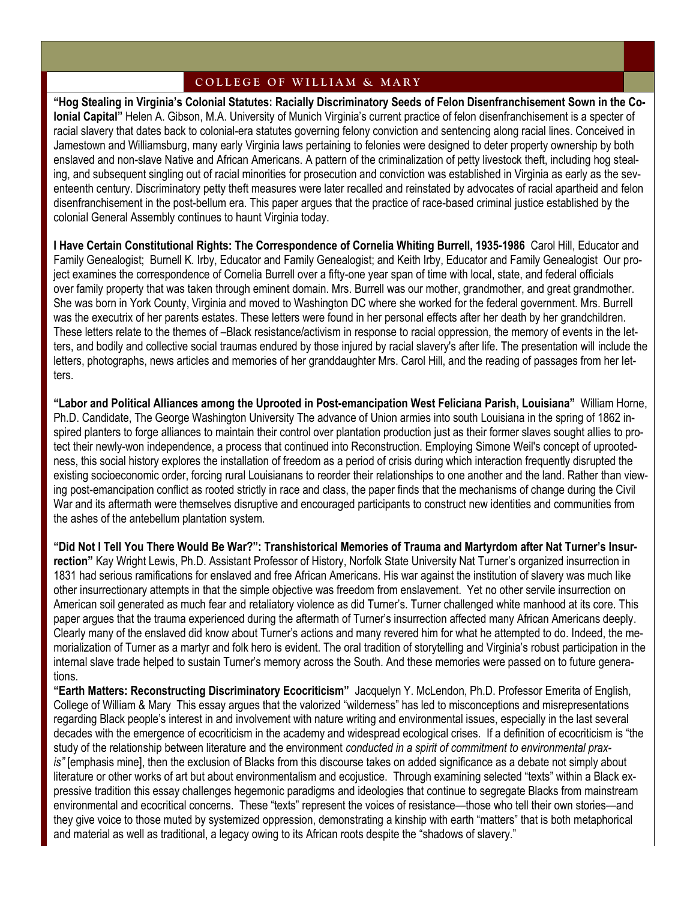#### **C O L L E G E O F W I L L I A M & M A R Y**

**"Hog Stealing in Virginia's Colonial Statutes: Racially Discriminatory Seeds of Felon Disenfranchisement Sown in the Colonial Capital"** Helen A. Gibson, M.A. University of Munich Virginia's current practice of felon disenfranchisement is a specter of racial slavery that dates back to colonial-era statutes governing felony conviction and sentencing along racial lines. Conceived in Jamestown and Williamsburg, many early Virginia laws pertaining to felonies were designed to deter property ownership by both enslaved and non-slave Native and African Americans. A pattern of the criminalization of petty livestock theft, including hog stealing, and subsequent singling out of racial minorities for prosecution and conviction was established in Virginia as early as the seventeenth century. Discriminatory petty theft measures were later recalled and reinstated by advocates of racial apartheid and felon disenfranchisement in the post-bellum era. This paper argues that the practice of race-based criminal justice established by the colonial General Assembly continues to haunt Virginia today.

**I Have Certain Constitutional Rights: The Correspondence of Cornelia Whiting Burrell, 1935-1986** Carol Hill, Educator and Family Genealogist; Burnell K. Irby, Educator and Family Genealogist; and Keith Irby, Educator and Family Genealogist Our project examines the correspondence of Cornelia Burrell over a fifty-one year span of time with local, state, and federal officials over family property that was taken through eminent domain. Mrs. Burrell was our mother, grandmother, and great grandmother. She was born in York County, Virginia and moved to Washington DC where she worked for the federal government. Mrs. Burrell was the executrix of her parents estates. These letters were found in her personal effects after her death by her grandchildren. These letters relate to the themes of –Black resistance/activism in response to racial oppression, the memory of events in the letters, and bodily and collective social traumas endured by those injured by racial slavery's after life. The presentation will include the letters, photographs, news articles and memories of her granddaughter Mrs. Carol Hill, and the reading of passages from her letters.

**"Labor and Political Alliances among the Uprooted in Post-emancipation West Feliciana Parish, Louisiana"** William Horne, Ph.D. Candidate, The George Washington University The advance of Union armies into south Louisiana in the spring of 1862 inspired planters to forge alliances to maintain their control over plantation production just as their former slaves sought allies to protect their newly-won independence, a process that continued into Reconstruction. Employing Simone Weil's concept of uprootedness, this social history explores the installation of freedom as a period of crisis during which interaction frequently disrupted the existing socioeconomic order, forcing rural Louisianans to reorder their relationships to one another and the land. Rather than viewing post-emancipation conflict as rooted strictly in race and class, the paper finds that the mechanisms of change during the Civil War and its aftermath were themselves disruptive and encouraged participants to construct new identities and communities from the ashes of the antebellum plantation system.

**"Did Not I Tell You There Would Be War?": Transhistorical Memories of Trauma and Martyrdom after Nat Turner's Insurrection"** Kay Wright Lewis, Ph.D. Assistant Professor of History, Norfolk State University Nat Turner's organized insurrection in 1831 had serious ramifications for enslaved and free African Americans. His war against the institution of slavery was much like other insurrectionary attempts in that the simple objective was freedom from enslavement. Yet no other servile insurrection on American soil generated as much fear and retaliatory violence as did Turner's. Turner challenged white manhood at its core. This paper argues that the trauma experienced during the aftermath of Turner's insurrection affected many African Americans deeply. Clearly many of the enslaved did know about Turner's actions and many revered him for what he attempted to do. Indeed, the memorialization of Turner as a martyr and folk hero is evident. The oral tradition of storytelling and Virginia's robust participation in the internal slave trade helped to sustain Turner's memory across the South. And these memories were passed on to future generations.

**"Earth Matters: Reconstructing Discriminatory Ecocriticism"** Jacquelyn Y. McLendon, Ph.D. Professor Emerita of English, College of William & Mary This essay argues that the valorized "wilderness" has led to misconceptions and misrepresentations regarding Black people's interest in and involvement with nature writing and environmental issues, especially in the last several decades with the emergence of ecocriticism in the academy and widespread ecological crises. If a definition of ecocriticism is "the study of the relationship between literature and the environment *conducted in a spirit of commitment to environmental praxis"* [emphasis mine], then the exclusion of Blacks from this discourse takes on added significance as a debate not simply about literature or other works of art but about environmentalism and ecojustice. Through examining selected "texts" within a Black expressive tradition this essay challenges hegemonic paradigms and ideologies that continue to segregate Blacks from mainstream environmental and ecocritical concerns. These "texts" represent the voices of resistance—those who tell their own stories—and they give voice to those muted by systemized oppression, demonstrating a kinship with earth "matters" that is both metaphorical and material as well as traditional, a legacy owing to its African roots despite the "shadows of slavery."